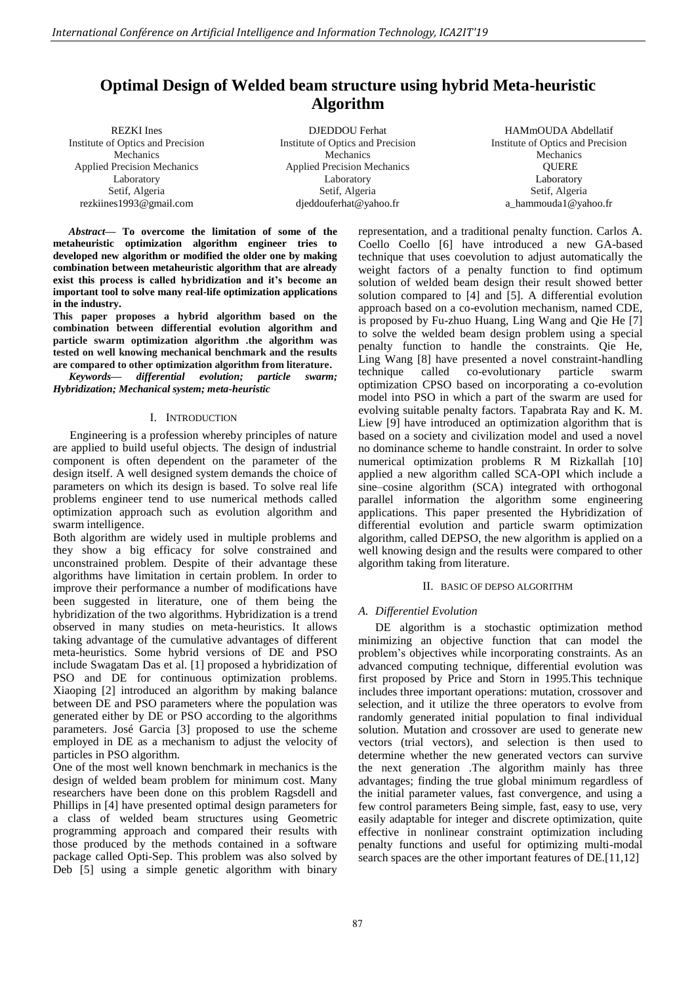# **Optimal Design of Welded beam structure using hybrid Meta-heuristic Algorithm**

Mechanics Applied Precision Mechanics Laboratory Setif, Algeria rezkiines1993@gmail.com REZKI Ines Institute of Optics and Precision

DJEDDOU Ferhat Institute of Optics and Precision **Mechanics** Applied Precision Mechanics Laboratory Setif, Algeria djeddouferhat@yahoo.fr

HAMmOUDA Abdellatif Institute of Optics and Precision Mechanics **QUERE** Laboratory Setif, Algeria a\_hammouda1@yahoo.fr

*Abstract***— To overcome the limitation of some of the metaheuristic optimization algorithm engineer tries to developed new algorithm or modified the older one by making combination between metaheuristic algorithm that are already exist this process is called hybridization and it's become an important tool to solve many real-life optimization applications in the industry.** 

**This paper proposes a hybrid algorithm based on the combination between differential evolution algorithm and particle swarm optimization algorithm .the algorithm was tested on well knowing mechanical benchmark and the results are compared to other optimization algorithm from literature.** 

*Keywords— differential evolution; particle swarm; Hybridization; Mechanical system; meta-heuristic* 

# I. INTRODUCTION

Engineering is a profession whereby principles of nature are applied to build useful objects. The design of industrial component is often dependent on the parameter of the design itself. A well designed system demands the choice of parameters on which its design is based. To solve real life problems engineer tend to use numerical methods called optimization approach such as evolution algorithm and swarm intelligence.

Both algorithm are widely used in multiple problems and they show a big efficacy for solve constrained and unconstrained problem. Despite of their advantage these algorithms have limitation in certain problem. In order to improve their performance a number of modifications have been suggested in literature, one of them being the hybridization of the two algorithms. Hybridization is a trend observed in many studies on meta-heuristics. It allows taking advantage of the cumulative advantages of different meta-heuristics. Some hybrid versions of DE and PSO include Swagatam Das et al. [1] proposed a hybridization of PSO and DE for continuous optimization problems. Xiaoping [2] introduced an algorithm by making balance between DE and PSO parameters where the population was generated either by DE or PSO according to the algorithms parameters. José Garcia [3] proposed to use the scheme employed in DE as a mechanism to adjust the velocity of particles in PSO algorithm.

One of the most well known benchmark in mechanics is the design of welded beam problem for minimum cost. Many researchers have been done on this problem Ragsdell and Phillips in [4] have presented optimal design parameters for a class of welded beam structures using Geometric programming approach and compared their results with those produced by the methods contained in a software package called Opti-Sep. This problem was also solved by Deb [5] using a simple genetic algorithm with binary representation, and a traditional penalty function. Carlos A. Coello Coello [6] have introduced a new GA-based technique that uses coevolution to adjust automatically the weight factors of a penalty function to find optimum solution of welded beam design their result showed better solution compared to [4] and [5]. A differential evolution approach based on a co-evolution mechanism, named CDE, is proposed by Fu-zhuo Huang, Ling Wang and Qie He [7] to solve the welded beam design problem using a special penalty function to handle the constraints. Qie He, Ling Wang [8] have presented a novel constraint-handling technique called co-evolutionary particle swarm optimization CPSO based on incorporating a co-evolution model into PSO in which a part of the swarm are used for evolving suitable penalty factors. Tapabrata Ray and K. M. Liew [9] have introduced an optimization algorithm that is based on a society and civilization model and used a novel no dominance scheme to handle constraint. In order to solve numerical optimization problems R M Rizkallah [10] applied a new algorithm called SCA-OPI which include a sine–cosine algorithm (SCA) integrated with orthogonal parallel information the algorithm some engineering applications. This paper presented the Hybridization of differential evolution and particle swarm optimization algorithm, called DEPSO, the new algorithm is applied on a well knowing design and the results were compared to other algorithm taking from literature.

# II. BASIC OF DEPSO ALGORITHM

# *A. Differentiel Evolution*

DE algorithm is a stochastic optimization method minimizing an objective function that can model the problem's objectives while incorporating constraints. As an advanced computing technique, differential evolution was first proposed by Price and Storn in 1995.This technique includes three important operations: mutation, crossover and selection, and it utilize the three operators to evolve from randomly generated initial population to final individual solution. Mutation and crossover are used to generate new vectors (trial vectors), and selection is then used to determine whether the new generated vectors can survive the next generation .The algorithm mainly has three advantages; finding the true global minimum regardless of the initial parameter values, fast convergence, and using a few control parameters Being simple, fast, easy to use, very easily adaptable for integer and discrete optimization, quite effective in nonlinear constraint optimization including penalty functions and useful for optimizing multi-modal search spaces are the other important features of DE.[11,12]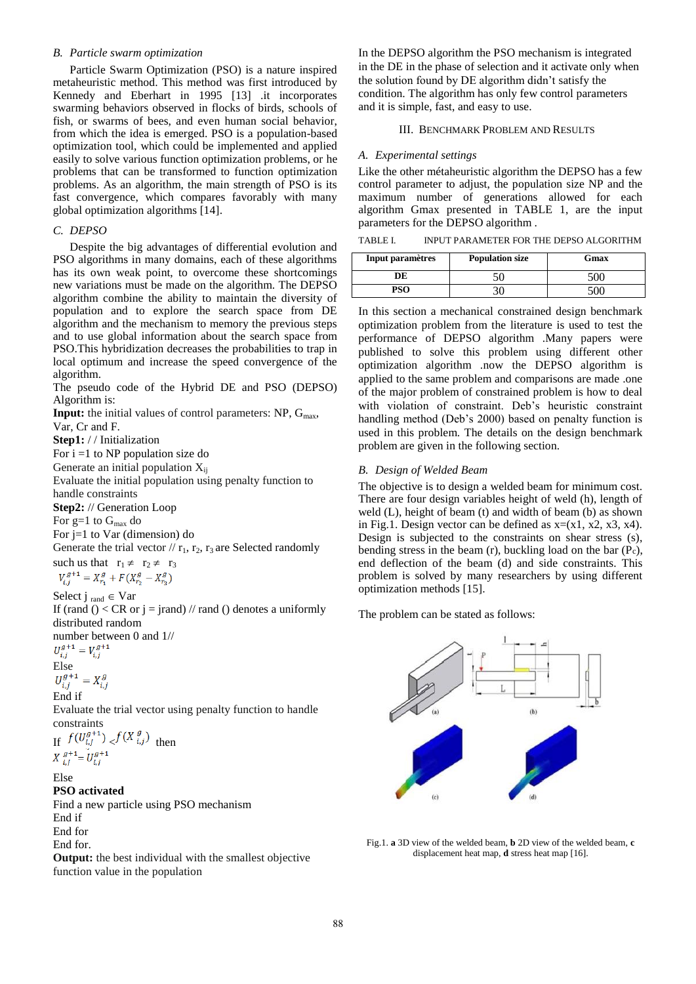## *B. Particle swarm optimization*

Particle Swarm Optimization (PSO) is a nature inspired metaheuristic method. This method was first introduced by Kennedy and Eberhart in 1995 [13] .it incorporates swarming behaviors observed in flocks of birds, schools of fish, or swarms of bees, and even human social behavior, from which the idea is emerged. PSO is a population-based optimization tool, which could be implemented and applied easily to solve various function optimization problems, or he problems that can be transformed to function optimization problems. As an algorithm, the main strength of PSO is its fast convergence, which compares favorably with many global optimization algorithms [14].

#### *C. DEPSO*

Despite the big advantages of differential evolution and PSO algorithms in many domains, each of these algorithms has its own weak point, to overcome these shortcomings new variations must be made on the algorithm. The DEPSO algorithm combine the ability to maintain the diversity of population and to explore the search space from DE algorithm and the mechanism to memory the previous steps and to use global information about the search space from PSO.This hybridization decreases the probabilities to trap in local optimum and increase the speed convergence of the algorithm.

The pseudo code of the Hybrid DE and PSO (DEPSO) Algorithm is:

**Input:** the initial values of control parameters: NP, G<sub>max</sub>,

Var, Cr and F.

**Step1:** / / Initialization

For  $i = 1$  to NP population size do

Generate an initial population  $X_{ij}$ 

Evaluate the initial population using penalty function to handle constraints

**Step2:** // Generation Loop

For  $g=1$  to  $G_{max}$  do

For j=1 to Var (dimension) do

Generate the trial vector  $// r_1, r_2, r_3$  are Selected randomly such us that  $r_1 \neq r_2 \neq r_3$ <br>  $V_{i,j}^{g+1} = X_{r_1}^g + F(X_{r_2}^g - X_{r_3}^g)$ 

Select j  $_{\text{rand}} \in \text{Var}$ 

If (rand () < CR or  $j =$  jrand) // rand () denotes a uniformly distributed random

number between 0 and  $1/$ <br> $U_{i,i}^{g+1} = V_{i,i}^{g+1}$ 

Else<br> $U_{i,j}^{g+1} = X_{i,j}^g$ End if

Evaluate the trial vector using penalty function to handle constraints

If  $f(U_{i,j}^{g+1}) \le f(X_{i,j}^g)$  then<br>  $X_{i,j}^{g+1} = U_{i,j}^{g+1}$ 

#### Else **PSO activated**

Find a new particle using PSO mechanism End if End for End for.

**Output:** the best individual with the smallest objective function value in the population

In the DEPSO algorithm the PSO mechanism is integrated in the DE in the phase of selection and it activate only when the solution found by DE algorithm didn't satisfy the condition. The algorithm has only few control parameters and it is simple, fast, and easy to use.

### III. BENCHMARK PROBLEM AND RESULTS

## *A. Experimental settings*

Like the other métaheuristic algorithm the DEPSO has a few control parameter to adjust, the population size NP and the maximum number of generations allowed for each algorithm Gmax presented in TABLE 1, are the input parameters for the DEPSO algorithm .

TABLE I. INPUT PARAMETER FOR THE DEPSO ALGORITHM

| Input paramètres | <b>Population size</b> | Gmax |  |
|------------------|------------------------|------|--|
|                  |                        |      |  |
| PSO              |                        |      |  |

In this section a mechanical constrained design benchmark optimization problem from the literature is used to test the performance of DEPSO algorithm .Many papers were published to solve this problem using different other optimization algorithm .now the DEPSO algorithm is applied to the same problem and comparisons are made .one of the major problem of constrained problem is how to deal with violation of constraint. Deb's heuristic constraint handling method (Deb's 2000) based on penalty function is used in this problem. The details on the design benchmark problem are given in the following section.

### *B. Design of Welded Beam*

The objective is to design a welded beam for minimum cost. There are four design variables height of weld (h), length of weld (L), height of beam (t) and width of beam (b) as shown in Fig.1. Design vector can be defined as  $x=(x1, x2, x3, x4)$ . Design is subjected to the constraints on shear stress (s), bending stress in the beam (r), buckling load on the bar (Pc), end deflection of the beam (d) and side constraints. This problem is solved by many researchers by using different optimization methods [15].

The problem can be stated as follows:



Fig.1. **a** 3D view of the welded beam, **b** 2D view of the welded beam, **c** displacement heat map, **d** stress heat map [16].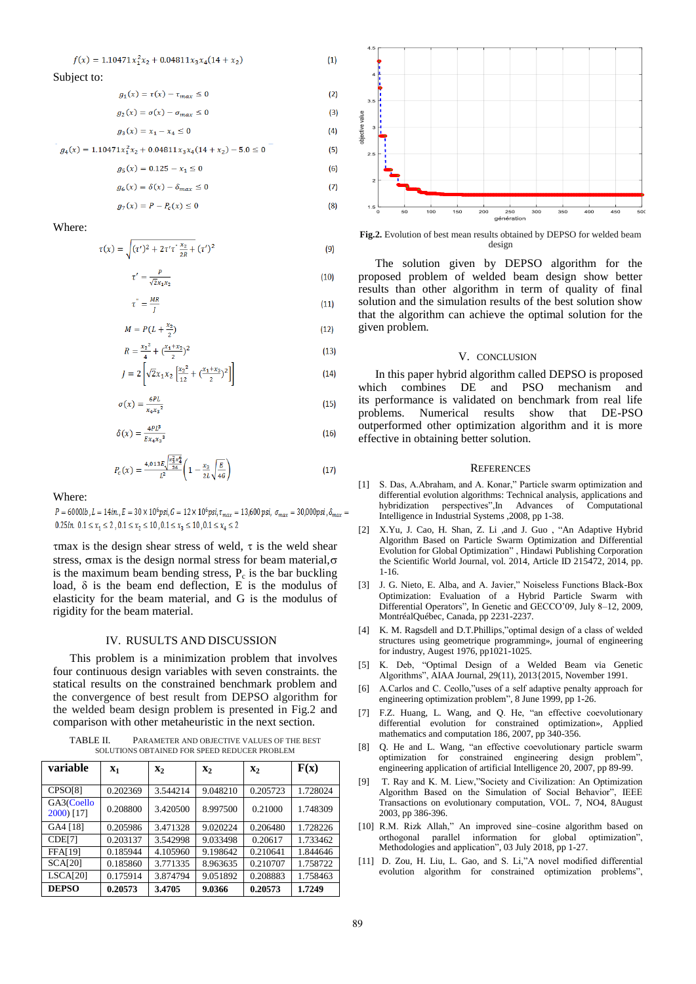$$
f(x) = 1.10471x_1^2x_2 + 0.04811x_3x_4(14 + x_2)
$$

Subject to:

g

 $g_{\scriptscriptstyle 0}$ 

g

 $\overline{\mathbf{u}}$ 

$$
g_1(x) = \tau(x) - \tau_{max} \le 0 \tag{2}
$$

$$
P_2(x) = \sigma(x) - \sigma_{max} \le 0
$$
 (3)

 $(4)$  $(5)$  $(6)$ 

$$
g_3(x) = x_1 - x_4 \le 0
$$

$$
g_4(x) = 1.10471x_1^2x_2 + 0.04811x_3x_4(14 + x_2) - 5.0 \le 0
$$

$$
g_5(x) = 0.125 - x_1 \le 0
$$

$$
\delta(x) = \delta(x) - \delta_{max} \le 0 \tag{7}
$$

$$
P_{7}(x) = P - P_{c}(x) \le 0
$$
\n(8)

Where:

$$
(x) = \sqrt{(\tau')^2 + 2\tau'\tau^{\frac{x_2}{2R}} + (\tau')^2}
$$
 (9)

$$
\tau' = \frac{P}{\sqrt{2}x_1x_2} \tag{10}
$$

$$
\tau^{\prime} = \frac{MR}{J} \tag{11}
$$

$$
M = P(L + \frac{x_2}{2})
$$
 (12)

$$
R = \frac{x_2^2}{4} + \left(\frac{x_1 + x_2}{2}\right)^2
$$
\n<sup>[13]</sup>

$$
J = 2\left[\sqrt{2}x_1x_2\left[\frac{x_2^2}{12} + \left(\frac{x_1 + x_3}{2}\right)^2\right]\right]
$$
 (14)

$$
\sigma(x) = \frac{6PL}{x_4 x_3^2} \tag{15}
$$

$$
\delta(x) = \frac{4PL^3}{Ex_4x_3^3} \tag{16}
$$

$$
P_c(x) = \frac{4,013E\sqrt{\frac{x_3^2x_4^6}{36}}}{L^2} \left(1 - \frac{x_3}{2L}\sqrt{\frac{E}{4G}}\right)
$$
(17)

Where:

 $P = 6000lb$ ,  $L = 14in$ ,  $E = 30 \times 10^6psi$ ,  $G = 12 \times 10^6psi$ ,  $\tau_{max} = 13,600psi$ ,  $\sigma_{max} = 30,000psi$ ,  $\delta_{max} =$ 0.25in,  $0.1 \le x_1 \le 2$ ,  $0.1 \le x_2 \le 10$ ,  $0.1 \le x_2 \le 10$ ,  $0.1 \le x_4 \le 2$ 

 $\tau$ max is the design shear stress of weld,  $\tau$  is the weld shear stress,  $\sigma$ max is the design normal stress for beam material, $\sigma$ is the maximum beam bending stress,  $P_c$  is the bar buckling load,  $\delta$  is the beam end deflection, E is the modulus of elasticity for the beam material, and G is the modulus of rigidity for the beam material.

#### IV. RUSULTS AND DISCUSSION

This problem is a minimization problem that involves four continuous design variables with seven constraints. the statical results on the constrained benchmark problem and the convergence of best result from DEPSO algorithm for the welded beam design problem is presented in Fig.2 and comparison with other metaheuristic in the next section.

TABLE II. PARAMETER AND OBJECTIVE VALUES OF THE BEST SOLUTIONS OBTAINED FOR SPEED REDUCER PROBLEM

| variable                 | $X_1$    | $\mathbf{x}_2$ | $\mathbf{x}_2$ | $\mathbf{x}_2$ | F(x)     |
|--------------------------|----------|----------------|----------------|----------------|----------|
| CPSO[8]                  | 0.202369 | 3.544214       | 9.048210       | 0.205723       | 1.728024 |
| GA3(Coello<br>2000) [17] | 0.208800 | 3.420500       | 8.997500       | 0.21000        | 1.748309 |
| GA4 [18]                 | 0.205986 | 3.471328       | 9.020224       | 0.206480       | 1.728226 |
| CDE[7]                   | 0.203137 | 3.542998       | 9.033498       | 0.20617        | 1.733462 |
| <b>FFA[19]</b>           | 0.185944 | 4.105960       | 9.198642       | 0.210641       | 1.844646 |
| <b>SCA[20]</b>           | 0.185860 | 3.771335       | 8.963635       | 0.210707       | 1.758722 |
| <b>LSCA[20]</b>          | 0.175914 | 3.874794       | 9.051892       | 0.208883       | 1.758463 |
| <b>DEPSO</b>             | 0.20573  | 3.4705         | 9.0366         | 0.20573        | 1.7249   |



**Fig.2.** Evolution of best mean results obtained by DEPSO for welded beam design

The solution given by DEPSO algorithm for the proposed problem of welded beam design show better results than other algorithm in term of quality of final solution and the simulation results of the best solution show that the algorithm can achieve the optimal solution for the given problem.

#### V. CONCLUSION

In this paper hybrid algorithm called DEPSO is proposed which combines  $DE$  and PSO mechanism and its performance is validated on benchmark from real life problems. Numerical results show that DE-PSO outperformed other optimization algorithm and it is more effective in obtaining better solution.

#### **REFERENCES**

- [1] S. Das, A.Abraham, and A. Konar," Particle swarm optimization and differential evolution algorithms: Technical analysis, applications and hybridization perspectives",In Advances of Computational Intelligence in Industrial Systems ,2008, pp 1-38.
- [2] X.Yu, J. Cao, H. Shan, Z. Li ,and J. Guo , "An Adaptive Hybrid Algorithm Based on Particle Swarm Optimization and Differential Evolution for Global Optimization" , Hindawi Publishing Corporation the Scientific World Journal, vol. 2014, Article ID 215472, 2014, pp. 1-16.
- [3] J. G. Nieto, E. Alba, and A. Javier," Noiseless Functions Black-Box Optimization: Evaluation of a Hybrid Particle Swarm with Differential Operators", In Genetic and GECCO'09, July 8–12, 2009, MontréalQuébec, Canada, pp 2231-2237.
- [4] K. M. Ragsdell and D.T.Phillips,"optimal design of a class of welded structures using geometrique programming», journal of engineering for industry, Augest 1976, pp1021-1025.
- [5] K. Deb, "Optimal Design of a Welded Beam via Genetic Algorithms", AIAA Journal, 29(11), 2013{2015, November 1991.
- [6] A.Carlos and C. Ceollo,"uses of a self adaptive penalty approach for engineering optimization problem", 8 June 1999, pp 1-26.
- [7] F.Z. Huang, L. Wang, and Q. He, "an effective coevolutionary differential evolution for constrained optimization», Applied mathematics and computation 186, 2007, pp 340-356.
- [8] Q. He and L. Wang, "an effective coevolutionary particle swarm optimization for constrained engineering design problem", engineering application of artificial Intelligence 20, 2007, pp 89-99.
- [9] T. Ray and K. M. Liew,"Society and Civilization: An Optimization Algorithm Based on the Simulation of Social Behavior", IEEE Transactions on evolutionary computation, VOL. 7, NO4, 8August 2003, pp 386-396.
- [10] R.M. Rizk Allah," An improved sine–cosine algorithm based on orthogonal parallel information for global optimization", Methodologies and application", 03 July 2018, pp 1-27.
- [11] D. Zou, H. Liu, L. Gao, and S. Li,"A novel modified differential evolution algorithm for constrained optimization problems",